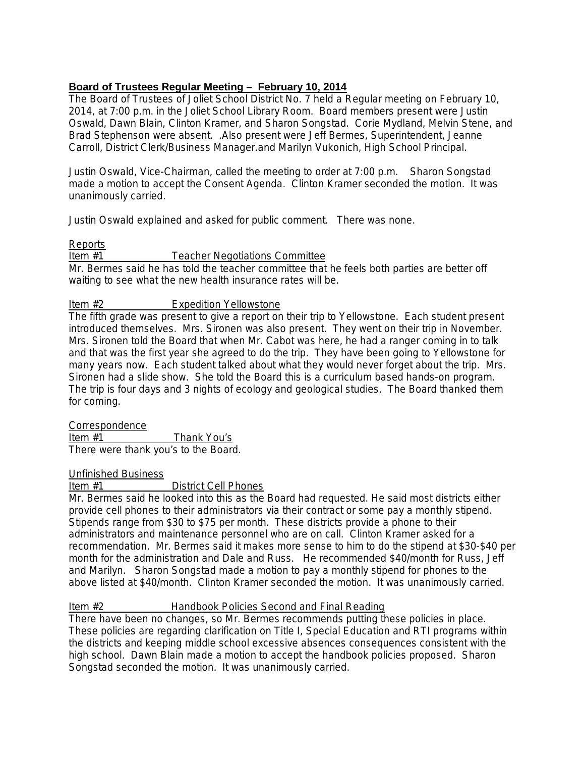# **Board of Trustees Regular Meeting – February 10, 2014**

The Board of Trustees of Joliet School District No. 7 held a Regular meeting on February 10, 2014, at 7:00 p.m. in the Joliet School Library Room. Board members present were Justin Oswald, Dawn Blain, Clinton Kramer, and Sharon Songstad. Corie Mydland, Melvin Stene, and Brad Stephenson were absent. .Also present were Jeff Bermes, Superintendent, Jeanne Carroll, District Clerk/Business Manager.and Marilyn Vukonich, High School Principal.

Justin Oswald, Vice-Chairman, called the meeting to order at 7:00 p.m. Sharon Songstad made a motion to accept the Consent Agenda. Clinton Kramer seconded the motion. It was unanimously carried.

Justin Oswald explained and asked for public comment. There was none.

## Reports

#### Item #1 Teacher Negotiations Committee

Mr. Bermes said he has told the teacher committee that he feels both parties are better off waiting to see what the new health insurance rates will be.

## Item #2 Expedition Yellowstone

The fifth grade was present to give a report on their trip to Yellowstone. Each student present introduced themselves. Mrs. Sironen was also present. They went on their trip in November. Mrs. Sironen told the Board that when Mr. Cabot was here, he had a ranger coming in to talk and that was the first year she agreed to do the trip. They have been going to Yellowstone for many years now. Each student talked about what they would never forget about the trip. Mrs. Sironen had a slide show. She told the Board this is a curriculum based hands-on program. The trip is four days and 3 nights of ecology and geological studies. The Board thanked them for coming.

## **Correspondence**

Item #1 Thank You's There were thank you's to the Board.

## Unfinished Business

## Item #1 District Cell Phones

Mr. Bermes said he looked into this as the Board had requested. He said most districts either provide cell phones to their administrators via their contract or some pay a monthly stipend. Stipends range from \$30 to \$75 per month. These districts provide a phone to their administrators and maintenance personnel who are on call. Clinton Kramer asked for a recommendation. Mr. Bermes said it makes more sense to him to do the stipend at \$30-\$40 per month for the administration and Dale and Russ. He recommended \$40/month for Russ, Jeff and Marilyn. Sharon Songstad made a motion to pay a monthly stipend for phones to the above listed at \$40/month. Clinton Kramer seconded the motion. It was unanimously carried.

## Item #2 Handbook Policies Second and Final Reading

There have been no changes, so Mr. Bermes recommends putting these policies in place. These policies are regarding clarification on Title I, Special Education and RTI programs within the districts and keeping middle school excessive absences consequences consistent with the high school. Dawn Blain made a motion to accept the handbook policies proposed. Sharon Songstad seconded the motion. It was unanimously carried.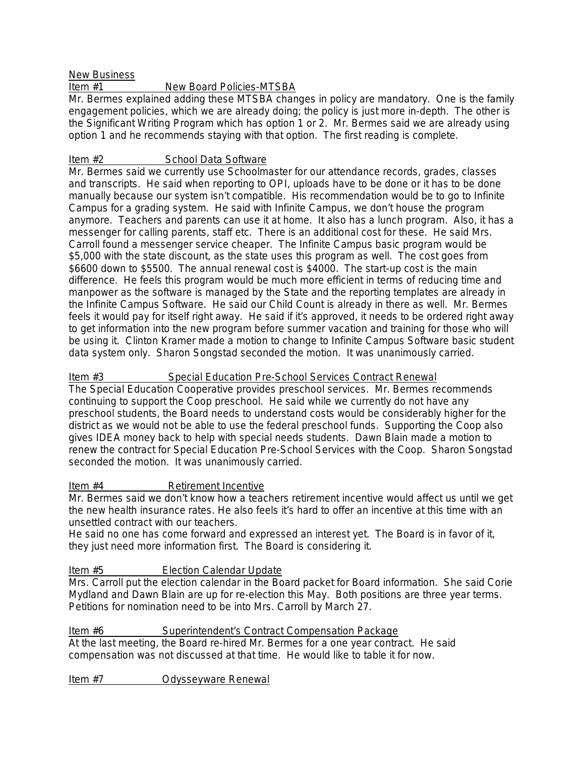New Business<br>Item #1

# New Board Policies-MTSBA

Mr. Bermes explained adding these MTSBA changes in policy are mandatory. One is the family engagement policies, which we are already doing; the policy is just more in-depth. The other is the Significant Writing Program which has option 1 or 2. Mr. Bermes said we are already using option 1 and he recommends staying with that option. The first reading is complete.

# Item #2 School Data Software

Mr. Bermes said we currently use Schoolmaster for our attendance records, grades, classes and transcripts. He said when reporting to OPI, uploads have to be done or it has to be done manually because our system isn't compatible. His recommendation would be to go to Infinite Campus for a grading system. He said with Infinite Campus, we don't house the program anymore. Teachers and parents can use it at home. It also has a lunch program. Also, it has a messenger for calling parents, staff etc. There is an additional cost for these. He said Mrs. Carroll found a messenger service cheaper. The Infinite Campus basic program would be \$5,000 with the state discount, as the state uses this program as well. The cost goes from \$6600 down to \$5500. The annual renewal cost is \$4000. The start-up cost is the main difference. He feels this program would be much more efficient in terms of reducing time and manpower as the software is managed by the State and the reporting templates are already in the Infinite Campus Software. He said our Child Count is already in there as well. Mr. Bermes feels it would pay for itself right away. He said if it's approved, it needs to be ordered right away to get information into the new program before summer vacation and training for those who will be using it. Clinton Kramer made a motion to change to Infinite Campus Software basic student data system only. Sharon Songstad seconded the motion. It was unanimously carried.

# Item #3 Special Education Pre-School Services Contract Renewal

The Special Education Cooperative provides preschool services. Mr. Bermes recommends continuing to support the Coop preschool. He said while we currently do not have any preschool students, the Board needs to understand costs would be considerably higher for the district as we would not be able to use the federal preschool funds. Supporting the Coop also gives IDEA money back to help with special needs students. Dawn Blain made a motion to renew the contract for Special Education Pre-School Services with the Coop. Sharon Songstad seconded the motion. It was unanimously carried.

## Item #4 Retirement Incentive

Mr. Bermes said we don't know how a teachers retirement incentive would affect us until we get the new health insurance rates. He also feels it's hard to offer an incentive at this time with an unsettled contract with our teachers.

He said no one has come forward and expressed an interest yet. The Board is in favor of it, they just need more information first. The Board is considering it.

## Item #5 Election Calendar Update

Mrs. Carroll put the election calendar in the Board packet for Board information. She said Corie Mydland and Dawn Blain are up for re-election this May. Both positions are three year terms. Petitions for nomination need to be into Mrs. Carroll by March 27.

#### Item #6 Superintendent's Contract Compensation Package At the last meeting, the Board re-hired Mr. Bermes for a one year contract. He said compensation was not discussed at that time. He would like to table it for now.

Item #7 Odysseyware Renewal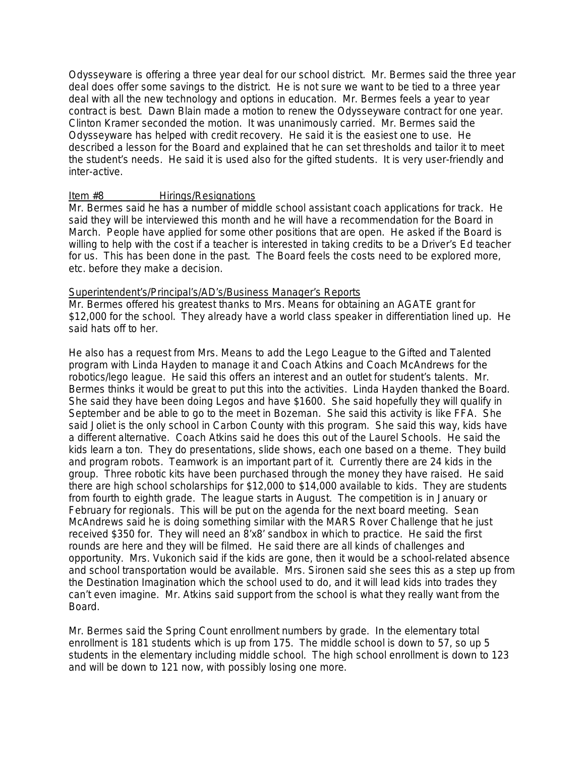Odysseyware is offering a three year deal for our school district. Mr. Bermes said the three year deal does offer some savings to the district. He is not sure we want to be tied to a three year deal with all the new technology and options in education. Mr. Bermes feels a year to year contract is best. Dawn Blain made a motion to renew the Odysseyware contract for one year. Clinton Kramer seconded the motion. It was unanimously carried. Mr. Bermes said the Odysseyware has helped with credit recovery. He said it is the easiest one to use. He described a lesson for the Board and explained that he can set thresholds and tailor it to meet the student's needs. He said it is used also for the gifted students. It is very user-friendly and inter-active.

#### Item #8 Hirings/Resignations

Mr. Bermes said he has a number of middle school assistant coach applications for track. He said they will be interviewed this month and he will have a recommendation for the Board in March. People have applied for some other positions that are open. He asked if the Board is willing to help with the cost if a teacher is interested in taking credits to be a Driver's Ed teacher for us. This has been done in the past. The Board feels the costs need to be explored more, etc. before they make a decision.

#### Superintendent's/Principal's/AD's/Business Manager's Reports

Mr. Bermes offered his greatest thanks to Mrs. Means for obtaining an AGATE grant for \$12,000 for the school. They already have a world class speaker in differentiation lined up. He said hats off to her.

He also has a request from Mrs. Means to add the Lego League to the Gifted and Talented program with Linda Hayden to manage it and Coach Atkins and Coach McAndrews for the robotics/lego league. He said this offers an interest and an outlet for student's talents. Mr. Bermes thinks it would be great to put this into the activities. Linda Hayden thanked the Board. She said they have been doing Legos and have \$1600. She said hopefully they will qualify in September and be able to go to the meet in Bozeman. She said this activity is like FFA. She said Joliet is the only school in Carbon County with this program. She said this way, kids have a different alternative. Coach Atkins said he does this out of the Laurel Schools. He said the kids learn a ton. They do presentations, slide shows, each one based on a theme. They build and program robots. Teamwork is an important part of it. Currently there are 24 kids in the group. Three robotic kits have been purchased through the money they have raised. He said there are high school scholarships for \$12,000 to \$14,000 available to kids. They are students from fourth to eighth grade. The league starts in August. The competition is in January or February for regionals. This will be put on the agenda for the next board meeting. Sean McAndrews said he is doing something similar with the MARS Rover Challenge that he just received \$350 for. They will need an 8'x8' sandbox in which to practice. He said the first rounds are here and they will be filmed. He said there are all kinds of challenges and opportunity. Mrs. Vukonich said if the kids are gone, then it would be a school-related absence and school transportation would be available. Mrs. Sironen said she sees this as a step up from the Destination Imagination which the school used to do, and it will lead kids into trades they can't even imagine. Mr. Atkins said support from the school is what they really want from the Board.

Mr. Bermes said the Spring Count enrollment numbers by grade. In the elementary total enrollment is 181 students which is up from 175. The middle school is down to 57, so up 5 students in the elementary including middle school. The high school enrollment is down to 123 and will be down to 121 now, with possibly losing one more.